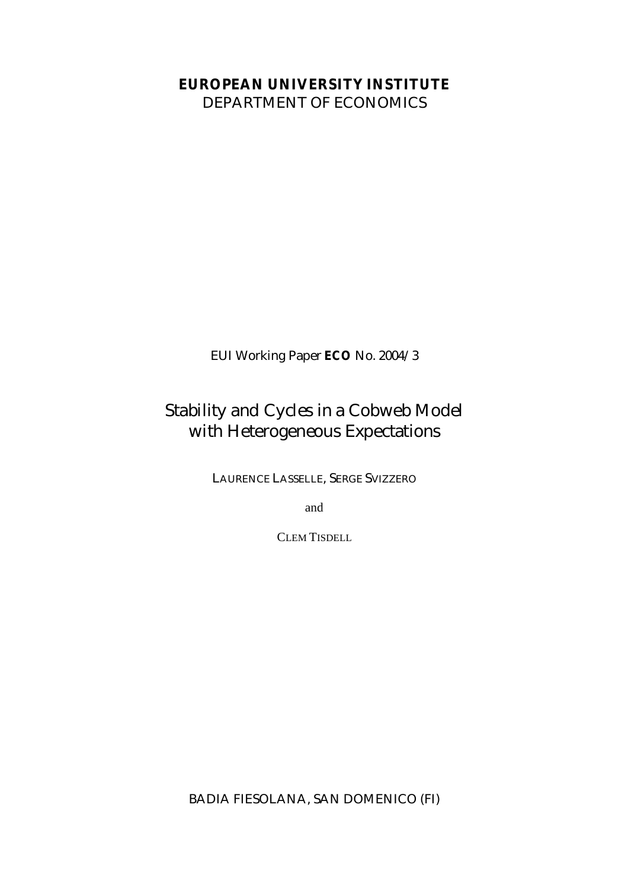## **EUROPEAN UNIVERSITY INSTITUTE**

DEPARTMENT OF ECONOMICS

EUI Working Paper **ECO** No. 2004/3

## Stability and Cycles in a Cobweb Model with Heterogeneous Expectations

LAURENCE LASSELLE, SERGE SVIZZERO

and

CLEM TISDELL

BADIA FIESOLANA, SAN DOMENICO (FI)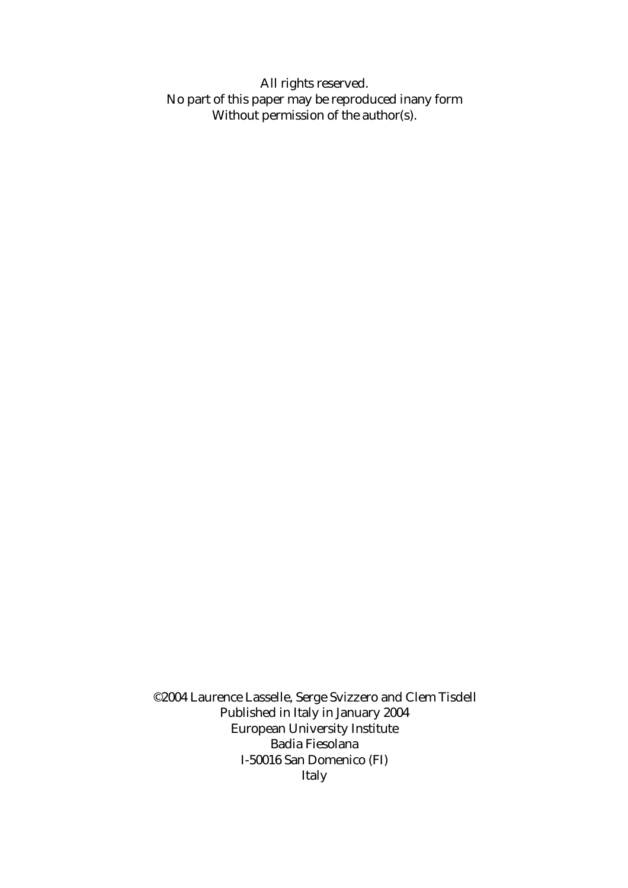All rights reserved. No part of this paper may be reproduced inany form Without permission of the author(s).

©2004 Laurence Lasselle, Serge Svizzero and Clem Tisdell Published in Italy in January 2004 European University Institute Badia Fiesolana I-50016 San Domenico (FI) Italy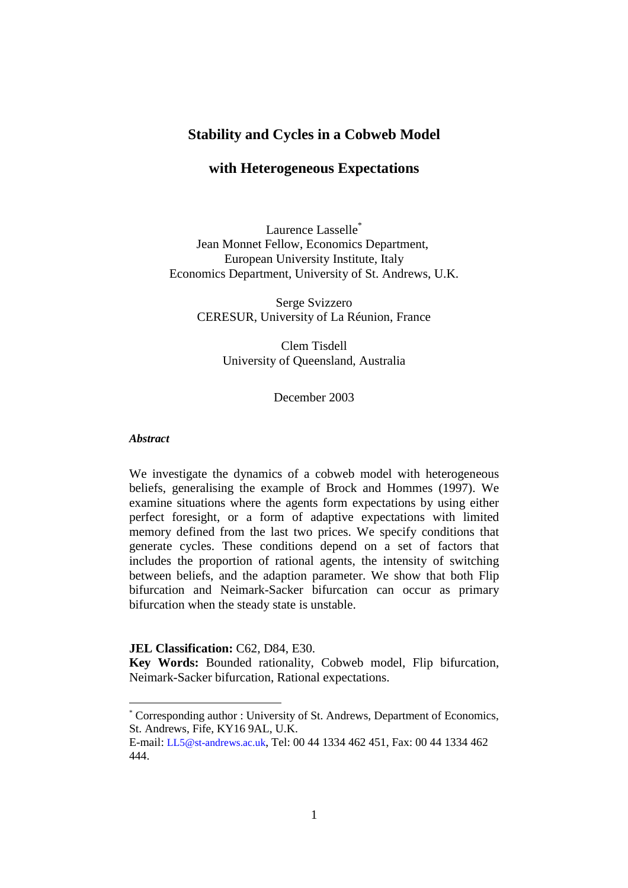### **Stability and Cycles in a Cobweb Model**

#### **with Heterogeneous Expectations**

Laurence Lasselle<sup>\*</sup> Jean Monnet Fellow, Economics Department, European University Institute, Italy Economics Department, University of St. Andrews, U.K.

> Serge Svizzero CERESUR, University of La Réunion, France

> > Clem Tisdell University of Queensland, Australia

> > > December 2003

#### *Abstract*

 $\overline{a}$ 

We investigate the dynamics of a cobweb model with heterogeneous beliefs, generalising the example of Brock and Hommes (1997). We examine situations where the agents form expectations by using either perfect foresight, or a form of adaptive expectations with limited memory defined from the last two prices. We specify conditions that generate cycles. These conditions depend on a set of factors that includes the proportion of rational agents, the intensity of switching between beliefs, and the adaption parameter. We show that both Flip bifurcation and Neimark-Sacker bifurcation can occur as primary bifurcation when the steady state is unstable.

**JEL Classification:** C62, D84, E30.

**Key Words:** Bounded rationality, Cobweb model, Flip bifurcation, Neimark-Sacker bifurcation, Rational expectations.

<span id="page-2-0"></span><sup>\*</sup> Corresponding author : University of St. Andrews, Department of Economics, St. Andrews, Fife, KY16 9AL, U.K.

E-mail: LL5@st-andrews.ac.uk, Tel: 00 44 1334 462 451, Fax: 00 44 1334 462 444.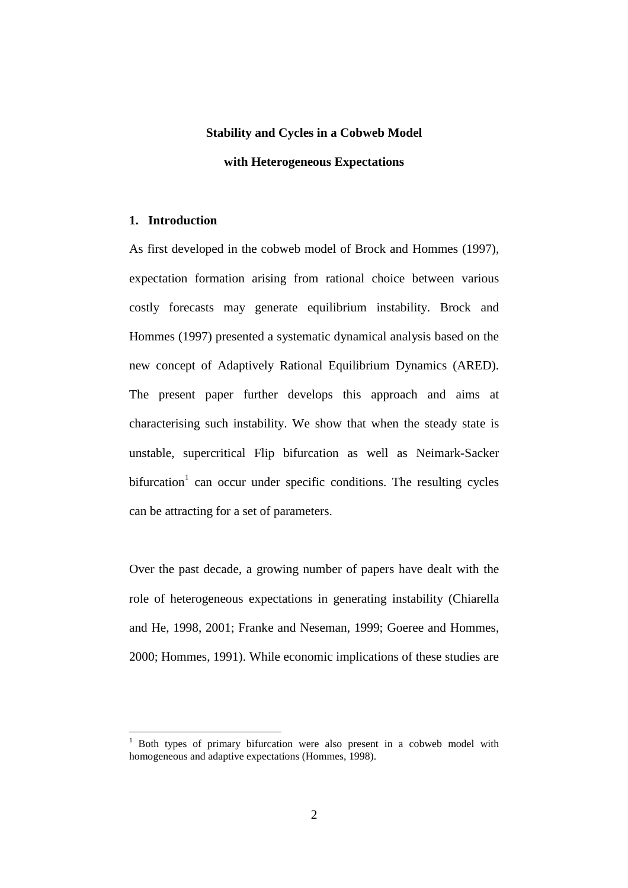# **Stability and Cycles in a Cobweb Model with Heterogeneous Expectations**

#### **1. Introduction**

 $\overline{a}$ 

As first developed in the cobweb model of Brock and Hommes (1997), expectation formation arising from rational choice between various costly forecasts may generate equilibrium instability. Brock and Hommes (1997) presented a systematic dynamical analysis based on the new concept of Adaptively Rational Equilibrium Dynamics (ARED). The present paper further develops this approach and aims at characterising such instability. We show that when the steady state is unstable, supercritical Flip bifurcation as well as Neimark-Sacker bifurcation<sup>[1](#page-3-0)</sup> can occur under specific conditions. The resulting cycles can be attracting for a set of parameters.

Over the past decade, a growing number of papers have dealt with the role of heterogeneous expectations in generating instability (Chiarella and He, 1998, 2001; Franke and Neseman, 1999; Goeree and Hommes, 2000; Hommes, 1991). While economic implications of these studies are

<span id="page-3-0"></span><sup>&</sup>lt;sup>1</sup> Both types of primary bifurcation were also present in a cobweb model with homogeneous and adaptive expectations (Hommes, 1998).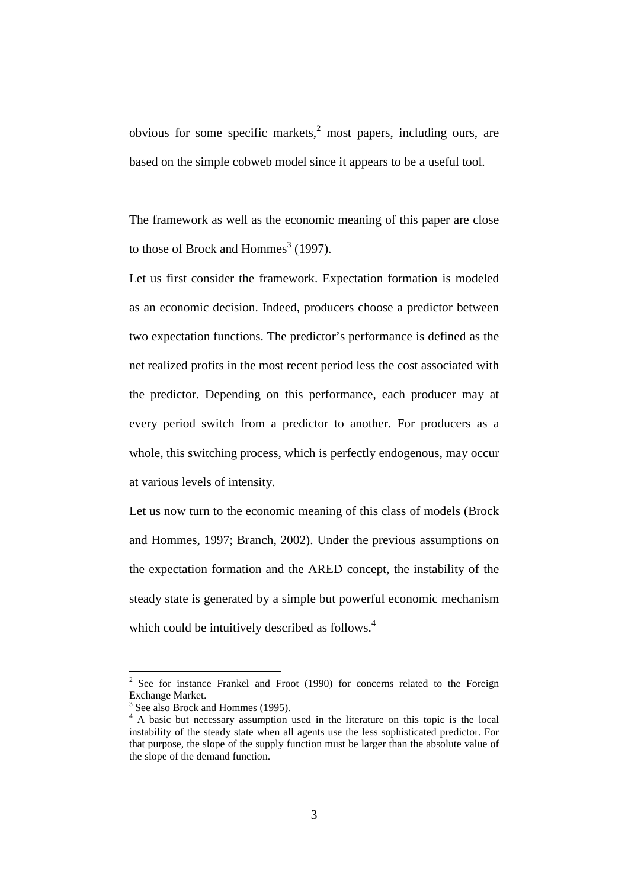obvious for some specific markets,<sup>[2](#page-4-0)</sup> most papers, including ours, are based on the simple cobweb model since it appears to be a useful tool.

The framework as well as the economic meaning of this paper are close to those of Brock and Hommes<sup>[3](#page-4-1)</sup> (1997).

Let us first consider the framework. Expectation formation is modeled as an economic decision. Indeed, producers choose a predictor between two expectation functions. The predictor's performance is defined as the net realized profits in the most recent period less the cost associated with the predictor. Depending on this performance, each producer may at every period switch from a predictor to another. For producers as a whole, this switching process, which is perfectly endogenous, may occur at various levels of intensity.

Let us now turn to the economic meaning of this class of models (Brock and Hommes, 1997; Branch, 2002). Under the previous assumptions on the expectation formation and the ARED concept, the instability of the steady state is generated by a simple but powerful economic mechanism which could be intuitively described as follows.<sup>[4](#page-4-2)</sup>

<span id="page-4-0"></span> $2$  See for instance Frankel and Froot (1990) for concerns related to the Foreign Exchange Market.

<span id="page-4-1"></span><sup>&</sup>lt;sup>3</sup> See also Brock and Hommes (1995).

<span id="page-4-2"></span><sup>4</sup> A basic but necessary assumption used in the literature on this topic is the local instability of the steady state when all agents use the less sophisticated predictor. For that purpose, the slope of the supply function must be larger than the absolute value of the slope of the demand function.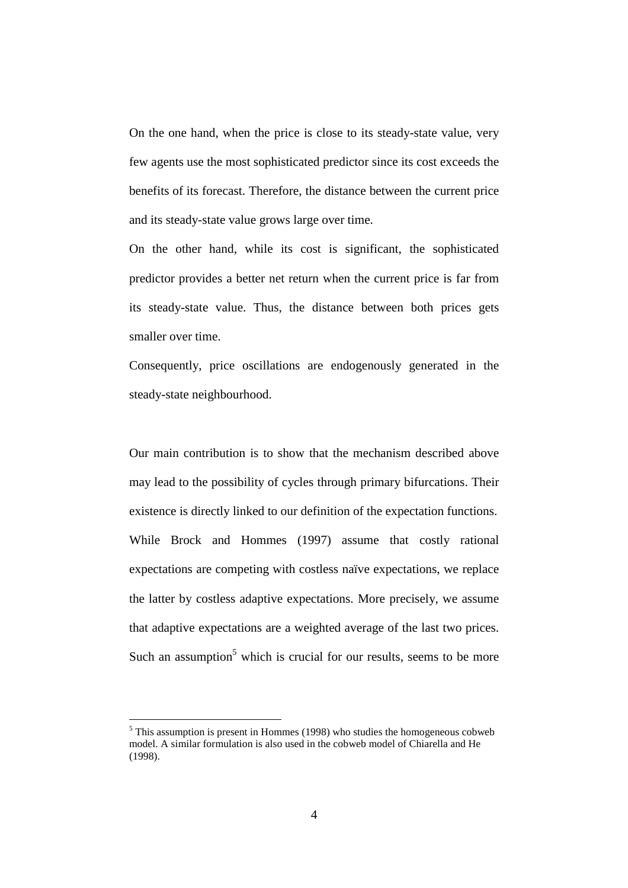On the one hand, when the price is close to its steady-state value, very few agents use the most sophisticated predictor since its cost exceeds the benefits of its forecast. Therefore, the distance between the current price and its steady-state value grows large over time.

On the other hand, while its cost is significant, the sophisticated predictor provides a better net return when the current price is far from its steady-state value. Thus, the distance between both prices gets smaller over time.

Consequently, price oscillations are endogenously generated in the steady-state neighbourhood.

Our main contribution is to show that the mechanism described above may lead to the possibility of cycles through primary bifurcations. Their existence is directly linked to our definition of the expectation functions. While Brock and Hommes (1997) assume that costly rational expectations are competing with costless naïve expectations, we replace the latter by costless adaptive expectations. More precisely, we assume that adaptive expectations are a weighted average of the last two prices. Such an assumption<sup>5</sup> which is crucial for our results, seems to be more

<span id="page-5-0"></span> $<sup>5</sup>$  This assumption is present in Hommes (1998) who studies the homogeneous cobweb</sup> model. A similar formulation is also used in the cobweb model of Chiarella and He (1998).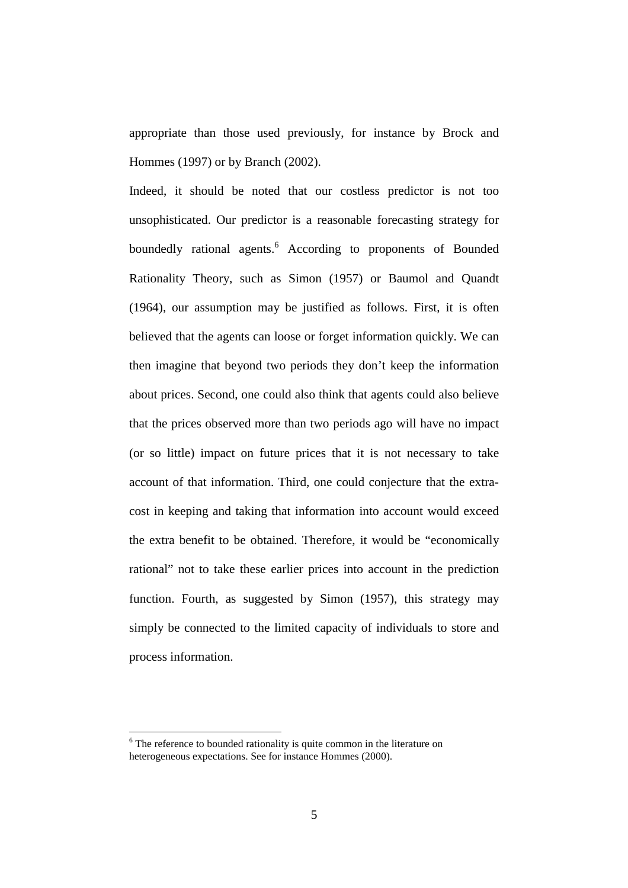appropriate than those used previously, for instance by Brock and Hommes (1997) or by Branch (2002).

Indeed, it should be noted that our costless predictor is not too unsophisticated. Our predictor is a reasonable forecasting strategy for boundedly rational agents.<sup>[6](#page-6-0)</sup> According to proponents of Bounded Rationality Theory, such as Simon (1957) or Baumol and Quandt (1964), our assumption may be justified as follows. First, it is often believed that the agents can loose or forget information quickly. We can then imagine that beyond two periods they don't keep the information about prices. Second, one could also think that agents could also believe that the prices observed more than two periods ago will have no impact (or so little) impact on future prices that it is not necessary to take account of that information. Third, one could conjecture that the extracost in keeping and taking that information into account would exceed the extra benefit to be obtained. Therefore, it would be "economically rational" not to take these earlier prices into account in the prediction function. Fourth, as suggested by Simon (1957), this strategy may simply be connected to the limited capacity of individuals to store and process information.

<span id="page-6-0"></span><sup>&</sup>lt;sup>6</sup> The reference to bounded rationality is quite common in the literature on heterogeneous expectations. See for instance Hommes (2000).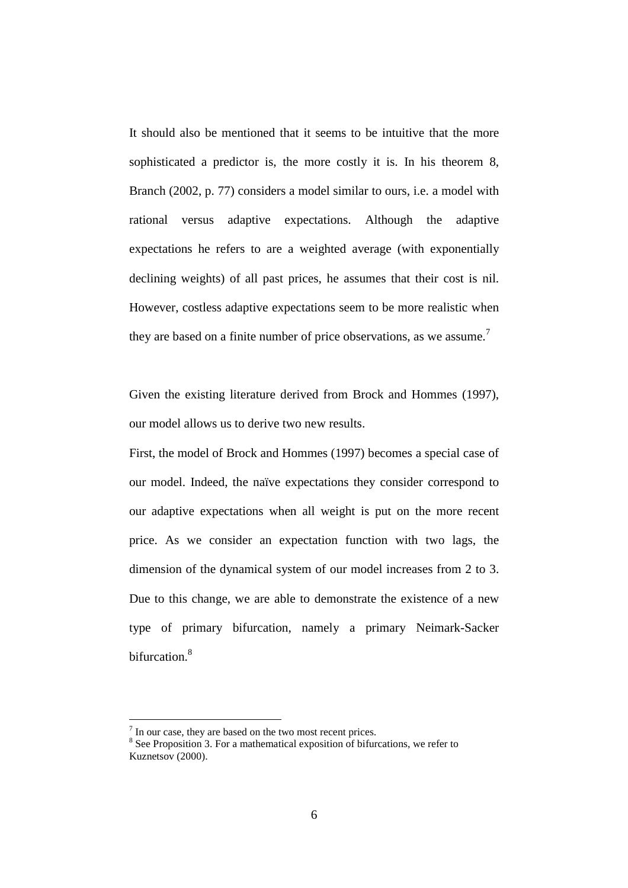It should also be mentioned that it seems to be intuitive that the more sophisticated a predictor is, the more costly it is. In his theorem 8, Branch (2002, p. 77) considers a model similar to ours, i.e. a model with rational versus adaptive expectations. Although the adaptive expectations he refers to are a weighted average (with exponentially declining weights) of all past prices, he assumes that their cost is nil. However, costless adaptive expectations seem to be more realistic when they are based on a finite number of price observations, as we assume.<sup>[7](#page-7-0)</sup>

Given the existing literature derived from Brock and Hommes (1997), our model allows us to derive two new results.

First, the model of Brock and Hommes (1997) becomes a special case of our model. Indeed, the naïve expectations they consider correspond to our adaptive expectations when all weight is put on the more recent price. As we consider an expectation function with two lags, the dimension of the dynamical system of our model increases from 2 to 3. Due to this change, we are able to demonstrate the existence of a new type of primary bifurcation, namely a primary Neimark-Sacker bifurcation.<sup>[8](#page-7-1)</sup>

<span id="page-7-0"></span> $<sup>7</sup>$  In our case, they are based on the two most recent prices.</sup>

<span id="page-7-1"></span><sup>&</sup>lt;sup>8</sup> See Proposition 3. For a mathematical exposition of bifurcations, we refer to Kuznetsov (2000).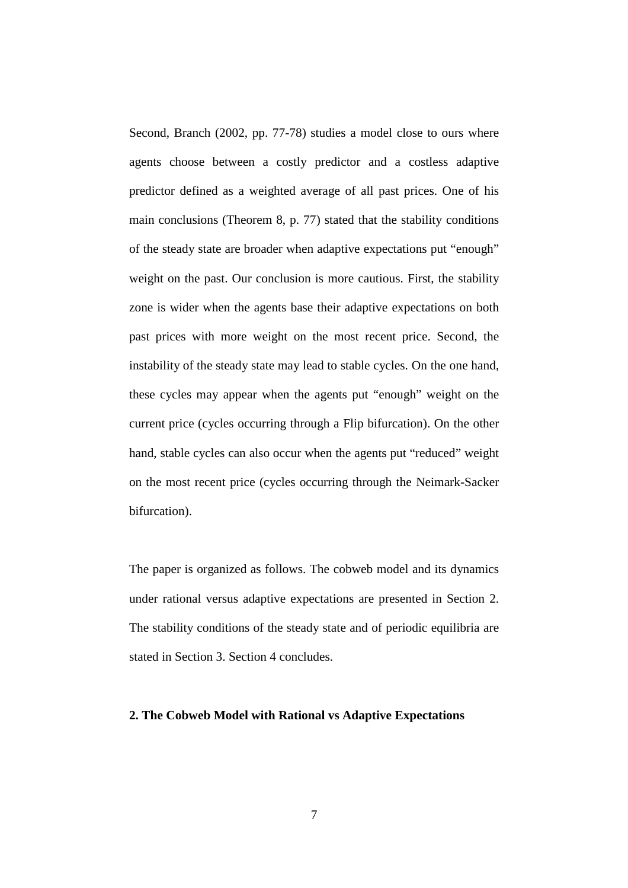Second, Branch (2002, pp. 77-78) studies a model close to ours where agents choose between a costly predictor and a costless adaptive predictor defined as a weighted average of all past prices. One of his main conclusions (Theorem 8, p. 77) stated that the stability conditions of the steady state are broader when adaptive expectations put "enough" weight on the past. Our conclusion is more cautious. First, the stability zone is wider when the agents base their adaptive expectations on both past prices with more weight on the most recent price. Second, the instability of the steady state may lead to stable cycles. On the one hand, these cycles may appear when the agents put "enough" weight on the current price (cycles occurring through a Flip bifurcation). On the other hand, stable cycles can also occur when the agents put "reduced" weight on the most recent price (cycles occurring through the Neimark-Sacker bifurcation).

The paper is organized as follows. The cobweb model and its dynamics under rational versus adaptive expectations are presented in Section 2. The stability conditions of the steady state and of periodic equilibria are stated in Section 3. Section 4 concludes.

#### **2. The Cobweb Model with Rational vs Adaptive Expectations**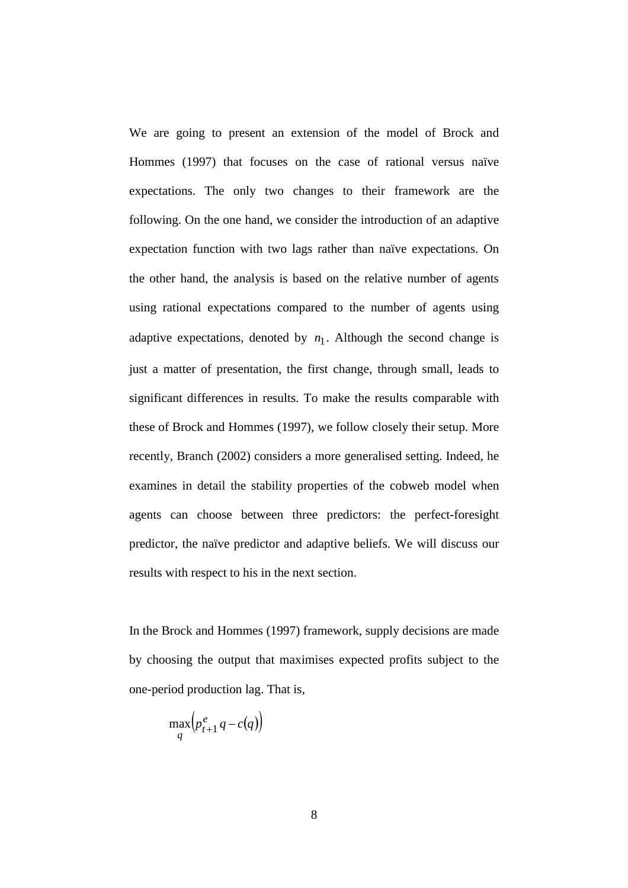We are going to present an extension of the model of Brock and Hommes (1997) that focuses on the case of rational versus naïve expectations. The only two changes to their framework are the following. On the one hand, we consider the introduction of an adaptive expectation function with two lags rather than naïve expectations. On the other hand, the analysis is based on the relative number of agents using rational expectations compared to the number of agents using adaptive expectations, denoted by  $n_1$ . Although the second change is just a matter of presentation, the first change, through small, leads to significant differences in results. To make the results comparable with these of Brock and Hommes (1997), we follow closely their setup. More recently, Branch (2002) considers a more generalised setting. Indeed, he examines in detail the stability properties of the cobweb model when agents can choose between three predictors: the perfect-foresight predictor, the naïve predictor and adaptive beliefs. We will discuss our results with respect to his in the next section.

In the Brock and Hommes (1997) framework, supply decisions are made by choosing the output that maximises expected profits subject to the one-period production lag. That is,

$$
\max_{q} \left( p_{t+1}^e \, q - c(q) \right)
$$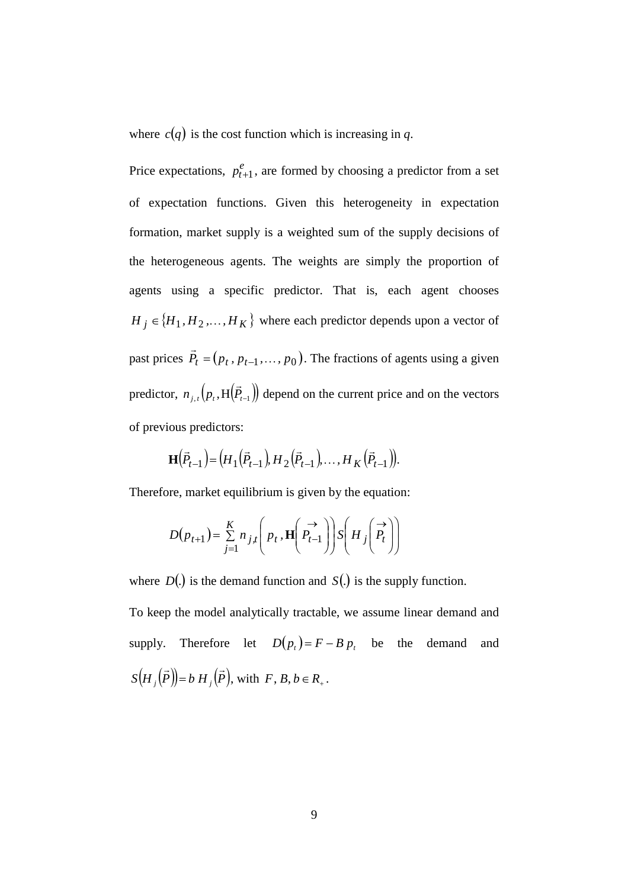where  $c(q)$  is the cost function which is increasing in q.

Price expectations,  $p_{t+1}^e$ , are formed by choosing a predictor from a set of expectation functions. Given this heterogeneity in expectation formation, market supply is a weighted sum of the supply decisions of the heterogeneous agents. The weights are simply the proportion of agents using a specific predictor. That is, each agent chooses  $H_j \in \{H_1, H_2, \ldots, H_K\}$  where each predictor depends upon a vector of past prices  $\vec{P}_t = (p_t, p_{t-1}, \dots, p_0)$ . The fractions of agents using a given predictor,  $n_{j,t}(p_t, H(\vec{P}_{t-1}))$  depend on the current price and on the vectors of previous predictors:

$$
\mathbf{H}(\vec{P}_{t-1}) = (H_1(\vec{P}_{t-1}), H_2(\vec{P}_{t-1}), \dots, H_K(\vec{P}_{t-1})).
$$

Therefore, market equilibrium is given by the equation:

$$
D(p_{t+1}) = \sum_{j=1}^{K} n_{j,t} \left( p_t, \mathbf{H} \left( \overrightarrow{P_{t-1}} \right) \right) S \left( H_j \left( \overrightarrow{P_t} \right) \right)
$$

where  $D(.)$  is the demand function and  $S(.)$  is the supply function.

To keep the model analytically tractable, we assume linear demand and supply. Therefore let  $D(p_t) = F - B p_t$  be the demand and  $S(H_{i}(\vec{P})) = b H_{i}(\vec{P})$ , with  $F, B, b \in R_{+}$ .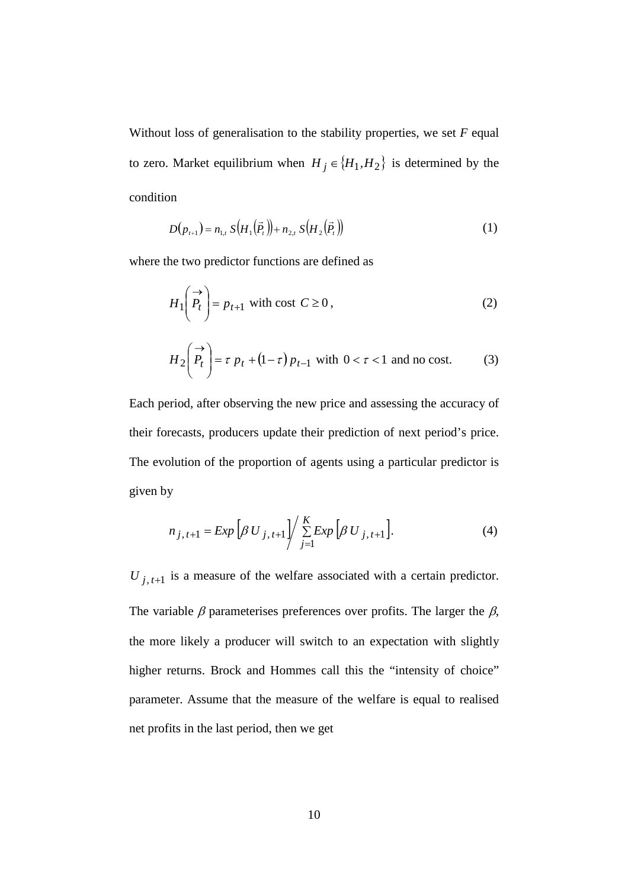Without loss of generalisation to the stability properties, we set *F* equal to zero. Market equilibrium when  $H_j \in \{H_1, H_2\}$  is determined by the condition

$$
D(p_{t+1}) = n_{1,t} S(H_1(\vec{P}_t)) + n_{2,t} S(H_2(\vec{P}_t))
$$
\n(1)

where the two predictor functions are defined as

$$
H_1\left(\stackrel{\rightarrow}{P_t}\right) = p_{t+1} \text{ with cost } C \ge 0,
$$
\n<sup>(2)</sup>

$$
H_2\left(\begin{array}{c}\to\\P_t\end{array}\right) = \tau \ p_t + (1-\tau) \ p_{t-1} \ \text{with } 0 < \tau < 1 \ \text{and no cost.} \tag{3}
$$

Each period, after observing the new price and assessing the accuracy of their forecasts, producers update their prediction of next period's price. The evolution of the proportion of agents using a particular predictor is given by

$$
n_{j, t+1} = Exp \left[ \beta U_{j, t+1} \right] / \sum_{j=1}^{K} Exp \left[ \beta U_{j, t+1} \right]. \tag{4}
$$

 $U_{j, t+1}$  is a measure of the welfare associated with a certain predictor. The variable  $\beta$  parameterises preferences over profits. The larger the  $\beta$ , the more likely a producer will switch to an expectation with slightly higher returns. Brock and Hommes call this the "intensity of choice" parameter. Assume that the measure of the welfare is equal to realised net profits in the last period, then we get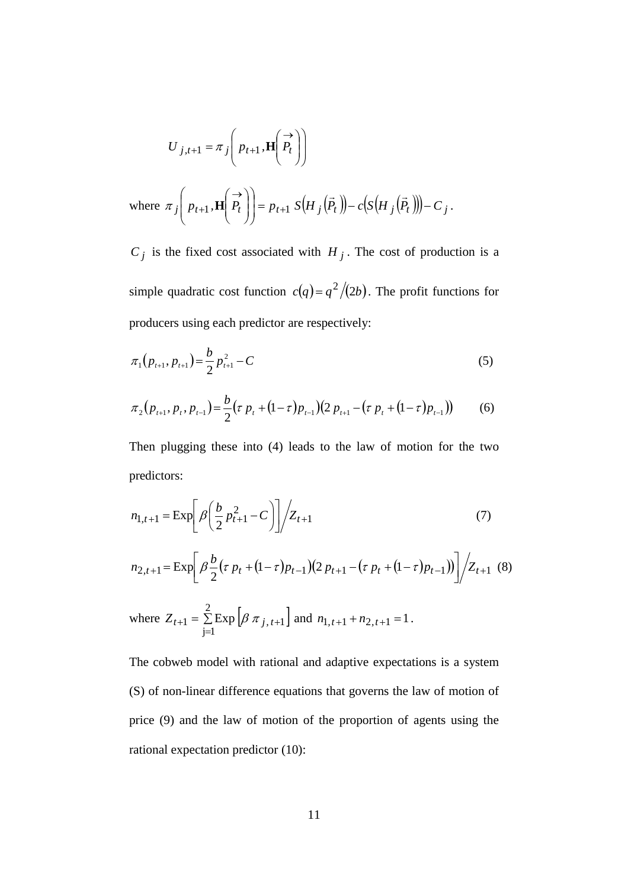$$
U_{j,t+1} = \pi_j \left( p_{t+1}, \mathbf{H} \left( \begin{matrix} \overrightarrow{P} \\ P_t \end{matrix} \right) \right)
$$

where 
$$
\pi_j\left(p_{t+1}, \mathbf{H}\left(\frac{\rightarrow}{P_t}\right)\right) = p_{t+1} S\left(H_j\left(\vec{P}_t\right)\right) - c\left(S\left(H_j\left(\vec{P}_t\right)\right)\right) - C_j
$$
.

 $C_j$  is the fixed cost associated with  $H_j$ . The cost of production is a simple quadratic cost function  $c(q) = q^2/(2b)$ . The profit functions for producers using each predictor are respectively:

$$
\pi_1(p_{t+1}, p_{t+1}) = \frac{b}{2} p_{t+1}^2 - C \tag{5}
$$

$$
\pi_2(p_{t+1}, p_t, p_{t-1}) = \frac{b}{2} (\tau p_t + (1-\tau)p_{t-1}) (2 p_{t+1} - (\tau p_t + (1-\tau)p_{t-1})) \tag{6}
$$

Then plugging these into (4) leads to the law of motion for the two predictors:

$$
n_{1,t+1} = \exp\left[\beta \left(\frac{b}{2} p_{t+1}^2 - C\right)\right] \bigg/ Z_{t+1}
$$
 (7)

$$
n_{2,t+1} = \exp\left[\beta \frac{b}{2} (\tau p_t + (1-\tau)p_{t-1})(2p_{t+1} - (\tau p_t + (1-\tau)p_{t-1}))\right] / Z_{t+1} \tag{8}
$$

where 
$$
Z_{t+1} = \sum_{j=1}^{2} \text{Exp} \left[ \beta \pi_{j, t+1} \right]
$$
 and  $n_{1, t+1} + n_{2, t+1} = 1$ .

The cobweb model with rational and adaptive expectations is a system (S) of non-linear difference equations that governs the law of motion of price (9) and the law of motion of the proportion of agents using the rational expectation predictor (10):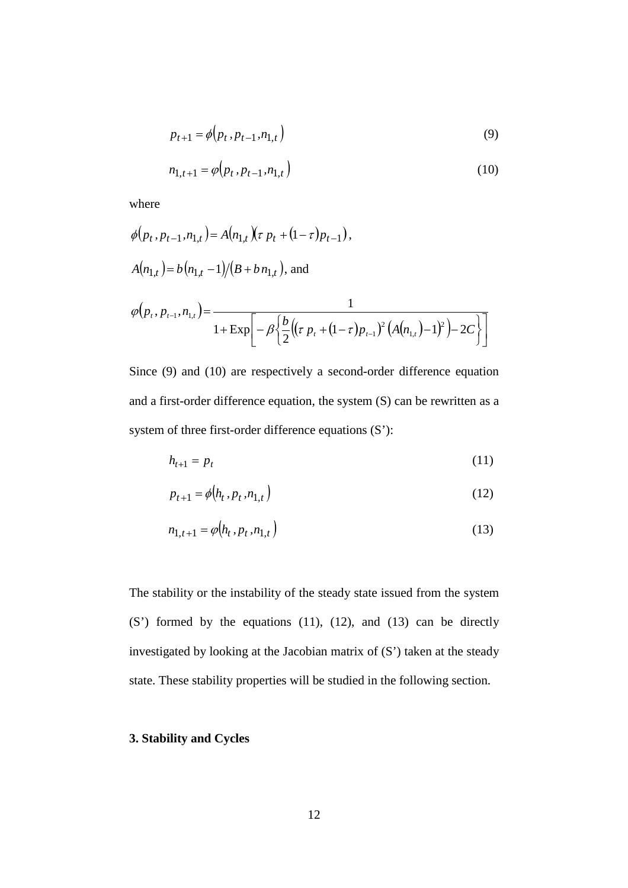$$
p_{t+1} = \phi(p_t, p_{t-1}, n_{1,t})
$$
\n
$$
n_{1,t+1} = \phi(p_t, p_{t-1}, n_{1,t})
$$
\n(9)

where

$$
\phi(p_t, p_{t-1}, n_{1,t}) = A(n_{1,t}) (\tau p_t + (1 - \tau) p_{t-1}),
$$
  
\n
$$
A(n_{1,t}) = b(n_{1,t} - 1)/(B + b n_{1,t}),
$$
 and  
\n
$$
\phi(p_t, p_{t-1}, n_{1,t}) = \frac{1}{1 + \exp[-\beta \left\{ \frac{b}{2} \left( (\tau p_t + (1 - \tau) p_{t-1})^2 (A(n_{1,t}) - 1)^2 \right) - 2C \right\} ]}
$$

Since (9) and (10) are respectively a second-order difference equation and a first-order difference equation, the system (S) can be rewritten as a system of three first-order difference equations (S'):

$$
h_{t+1} = p_t \tag{11}
$$

$$
p_{t+1} = \phi(h_t, p_t, n_{1,t})
$$
\n(12)

$$
n_{1,t+1} = \varphi(h_t, p_t, n_{1,t})
$$
\n(13)

The stability or the instability of the steady state issued from the system (S') formed by the equations (11), (12), and (13) can be directly investigated by looking at the Jacobian matrix of (S') taken at the steady state. These stability properties will be studied in the following section.

#### **3. Stability and Cycles**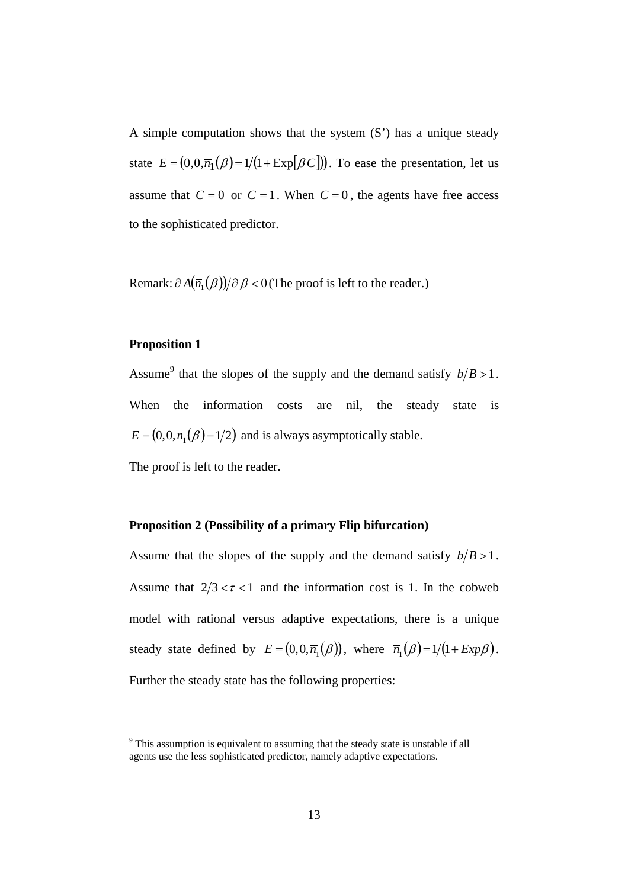A simple computation shows that the system (S') has a unique steady state  $E = (0, 0, \overline{n}_1(\beta) = 1/(1 + \exp[\beta C]))$ . To ease the presentation, let us assume that  $C = 0$  or  $C = 1$ . When  $C = 0$ , the agents have free access to the sophisticated predictor.

Remark:  $\partial A(\overline{n_1}(\beta))/\partial \beta < 0$  (The proof is left to the reader.)

#### **Proposition 1**

Assume<sup>9</sup> that the slopes of the supply and the demand satisfy  $b/B > 1$ . When the information costs are nil, the steady state is  $E = (0, 0, \overline{n}_1(\beta) = 1/2)$  and is always asymptotically stable.

The proof is left to the reader.

#### **Proposition 2 (Possibility of a primary Flip bifurcation)**

Assume that the slopes of the supply and the demand satisfy  $b/B > 1$ . Assume that  $2/3 < r < 1$  and the information cost is 1. In the cobweb model with rational versus adaptive expectations, there is a unique steady state defined by  $E = (0, 0, \overline{n}_1(\beta))$ , where  $\overline{n}_1(\beta) = 1/(1 + Exp\beta)$ . Further the steady state has the following properties:

<span id="page-14-0"></span><sup>&</sup>lt;sup>9</sup> This assumption is equivalent to assuming that the steady state is unstable if all agents use the less sophisticated predictor, namely adaptive expectations.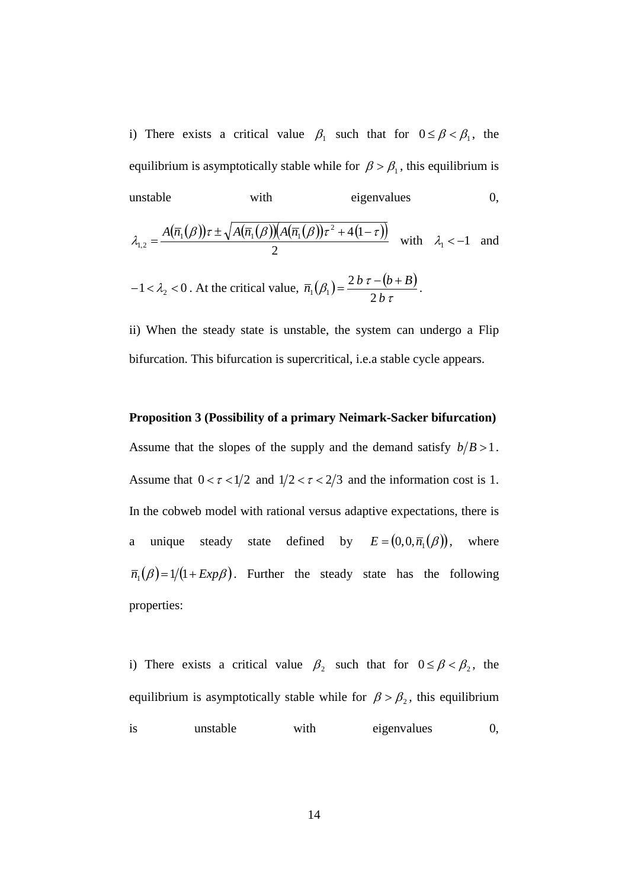i) There exists a critical value  $\beta_1$  such that for  $0 \le \beta < \beta_1$ , the equilibrium is asymptotically stable while for  $\beta > \beta_1$ , this equilibrium is unstable with eigenvalues 0,

$$
\lambda_{1,2} = \frac{A(\overline{n}_1(\beta))\tau \pm \sqrt{A(\overline{n}_1(\beta))\left(A(\overline{n}_1(\beta))\tau^2 + 4(1-\tau)\right)}}{2} \quad \text{with} \quad \lambda_1 < -1 \quad \text{and}
$$

 $-1 < \lambda_2 < 0$ . At the critical value,  $\overline{n}_1(\beta_1) = \frac{2 b \tau - (b+B)}{2 b \tau}$  $\beta_1$ ) =  $\frac{2 b \tau}{ }$  $\int_0^b$  2*b*  $\overline{n}_1(\beta_1) = \frac{2 b \tau - (b + B)}{2}$ 2 2  $1 \mathcal{V}_1$  $=\frac{2b\tau-(b+B)}{2\pi}.$ 

ii) When the steady state is unstable, the system can undergo a Flip bifurcation. This bifurcation is supercritical, i.e.a stable cycle appears.

#### **Proposition 3 (Possibility of a primary Neimark-Sacker bifurcation)**

Assume that the slopes of the supply and the demand satisfy  $b/B > 1$ . Assume that  $0 < \tau < 1/2$  and  $1/2 < \tau < 2/3$  and the information cost is 1. In the cobweb model with rational versus adaptive expectations, there is a unique steady state defined by  $E = (0, 0, \overline{n}_1(\beta))$ where  $\overline{n}_1(\beta) = 1/(1 + Exp\beta)$ . Further the steady state has the following properties:

i) There exists a critical value  $\beta_2$  such that for  $0 \le \beta < \beta_2$ , the equilibrium is asymptotically stable while for  $\beta > \beta_2$ , this equilibrium is unstable with eigenvalues 0,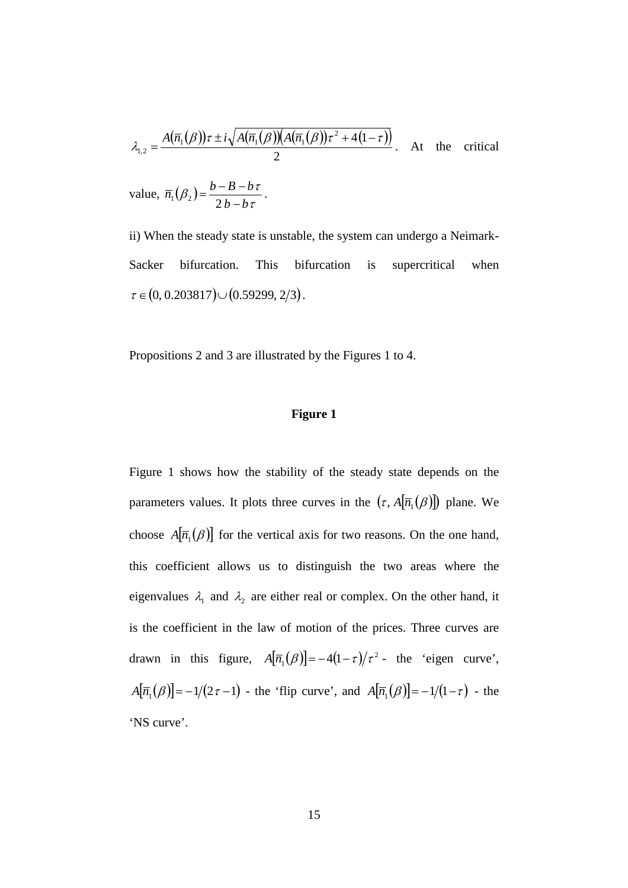$$
\lambda_{1,2} = \frac{A(\overline{n}_1(\beta))\tau \pm i\sqrt{A(\overline{n}_1(\beta))\Big(A(\overline{n}_1(\beta))\tau^2 + 4(1-\tau)\Big)}}{2}.
$$
 At the critical

value,  $\overline{n}_1(\beta_2) = \frac{b-b-b}{2b-b\tau}$  $\beta_2 = \frac{b - B - b\tau}{2}$  $b^{p_2}$   $2b-b$  $\overline{n}_1(\beta_2) = \frac{b - B - b}{2b - b\tau}$  $\mathcal{L}_1(\beta_2) = \frac{b - B - b\tau}{2b - b\tau}.$ 

ii) When the steady state is unstable, the system can undergo a Neimark-Sacker bifurcation. This bifurcation is supercritical when  $\tau \in (0, 0.203817) \cup (0.59299, 2/3).$ 

Propositions 2 and 3 are illustrated by the Figures 1 to 4.

#### **Figure 1**

Figure 1 shows how the stability of the steady state depends on the parameters values. It plots three curves in the  $(\tau, A[\overline{n}_1(\beta)])$  plane. We choose  $A[\overline{n}_1(\beta)]$  for the vertical axis for two reasons. On the one hand, this coefficient allows us to distinguish the two areas where the eigenvalues  $\lambda_1$  and  $\lambda_2$  are either real or complex. On the other hand, it is the coefficient in the law of motion of the prices. Three curves are drawn in this figure,  $A[\overline{n_1}(\beta)] = -4(1-\tau)/\tau^2$  the 'eigen curve',  $A[\overline{n}_1(\beta)] = -1/(2\tau - 1)$  - the 'flip curve', and  $A[\overline{n}_1(\beta)] = -1/(1 - \tau)$  - the 'NS curve'.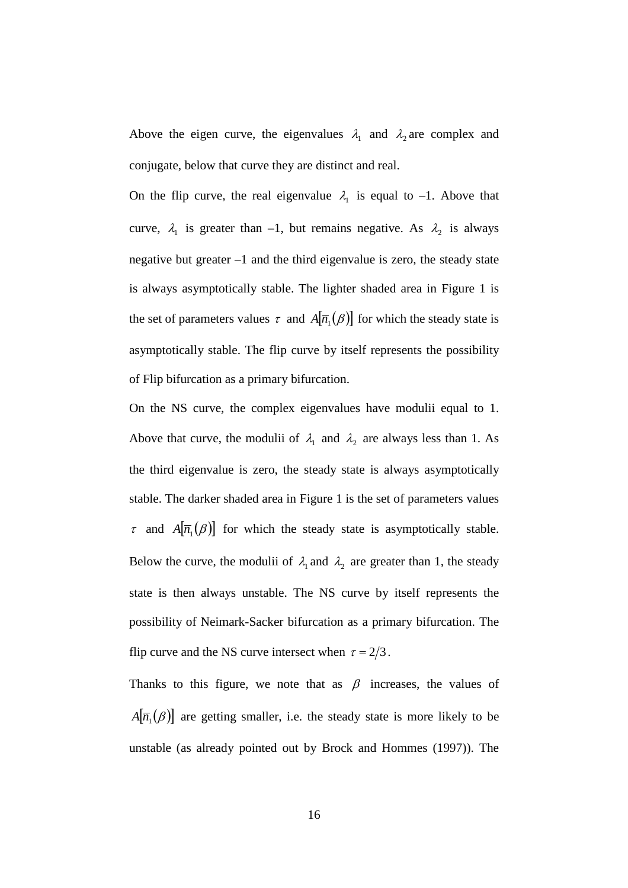Above the eigen curve, the eigenvalues  $\lambda_1$  and  $\lambda_2$  are complex and conjugate, below that curve they are distinct and real.

On the flip curve, the real eigenvalue  $\lambda_1$  is equal to -1. Above that curve,  $\lambda_1$  is greater than -1, but remains negative. As  $\lambda_2$  is always negative but greater –1 and the third eigenvalue is zero, the steady state is always asymptotically stable. The lighter shaded area in Figure 1 is the set of parameters values  $\tau$  and  $A[\overline{n}_1(\beta)]$  for which the steady state is asymptotically stable. The flip curve by itself represents the possibility of Flip bifurcation as a primary bifurcation.

On the NS curve, the complex eigenvalues have modulii equal to 1. Above that curve, the modulii of  $\lambda_1$  and  $\lambda_2$  are always less than 1. As the third eigenvalue is zero, the steady state is always asymptotically stable. The darker shaded area in Figure 1 is the set of parameters values  $\tau$  and  $A[\overline{n_1}(\beta)]$  for which the steady state is asymptotically stable. Below the curve, the modulii of  $\lambda_1$  and  $\lambda_2$  are greater than 1, the steady state is then always unstable. The NS curve by itself represents the possibility of Neimark-Sacker bifurcation as a primary bifurcation. The flip curve and the NS curve intersect when  $\tau = 2/3$ .

Thanks to this figure, we note that as  $\beta$  increases, the values of  $A[\overline{n}_1(\beta)]$  are getting smaller, i.e. the steady state is more likely to be unstable (as already pointed out by Brock and Hommes (1997)). The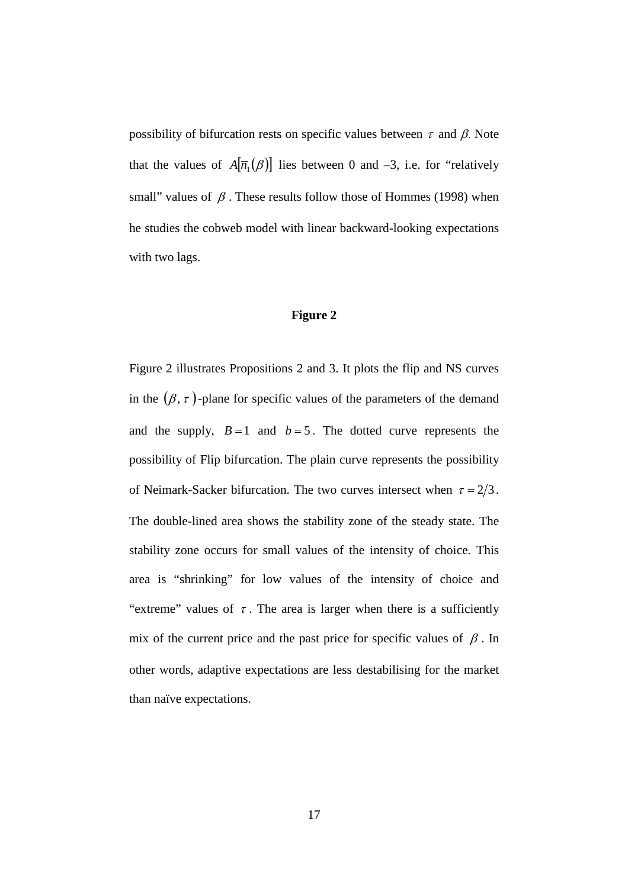possibility of bifurcation rests on specific values between  $\tau$  and  $\beta$ . Note that the values of  $A[\overline{n_1}(\beta)]$  lies between 0 and -3, i.e. for "relatively" small" values of  $\beta$ . These results follow those of Hommes (1998) when he studies the cobweb model with linear backward-looking expectations with two lags.

#### **Figure 2**

Figure 2 illustrates Propositions 2 and 3. It plots the flip and NS curves in the  $(\beta, \tau)$ -plane for specific values of the parameters of the demand and the supply,  $B = 1$  and  $b = 5$ . The dotted curve represents the possibility of Flip bifurcation. The plain curve represents the possibility of Neimark-Sacker bifurcation. The two curves intersect when  $\tau = 2/3$ . The double-lined area shows the stability zone of the steady state. The stability zone occurs for small values of the intensity of choice. This area is "shrinking" for low values of the intensity of choice and "extreme" values of  $\tau$ . The area is larger when there is a sufficiently mix of the current price and the past price for specific values of  $\beta$ . In other words, adaptive expectations are less destabilising for the market than naïve expectations.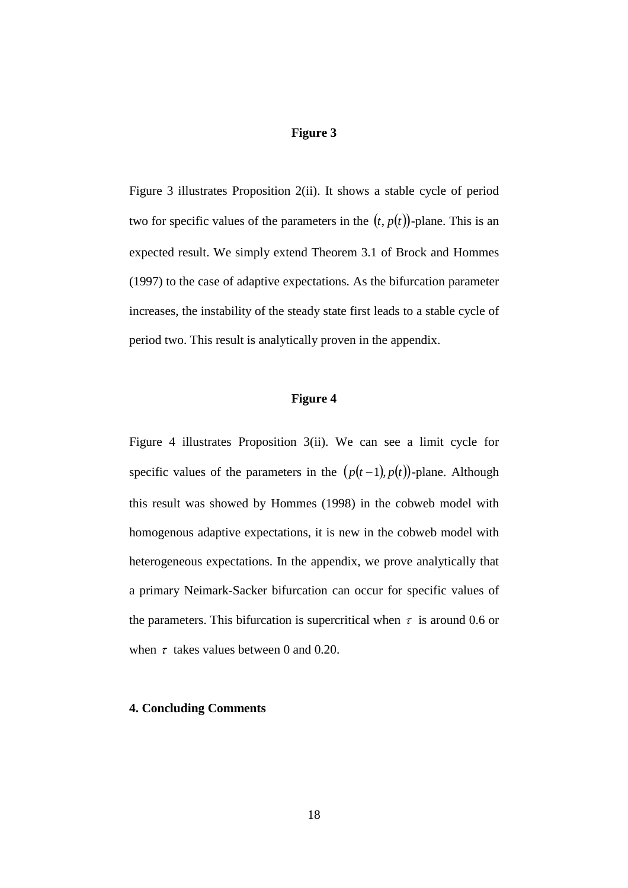#### **Figure 3**

Figure 3 illustrates Proposition 2(ii). It shows a stable cycle of period two for specific values of the parameters in the  $(t, p(t))$ -plane. This is an expected result. We simply extend Theorem 3.1 of Brock and Hommes (1997) to the case of adaptive expectations. As the bifurcation parameter increases, the instability of the steady state first leads to a stable cycle of period two. This result is analytically proven in the appendix.

#### **Figure 4**

Figure 4 illustrates Proposition 3(ii). We can see a limit cycle for specific values of the parameters in the  $(p(t-1), p(t))$ -plane. Although this result was showed by Hommes (1998) in the cobweb model with homogenous adaptive expectations, it is new in the cobweb model with heterogeneous expectations. In the appendix, we prove analytically that a primary Neimark-Sacker bifurcation can occur for specific values of the parameters. This bifurcation is supercritical when  $\tau$  is around 0.6 or when  $\tau$  takes values between 0 and 0.20.

#### **4. Concluding Comments**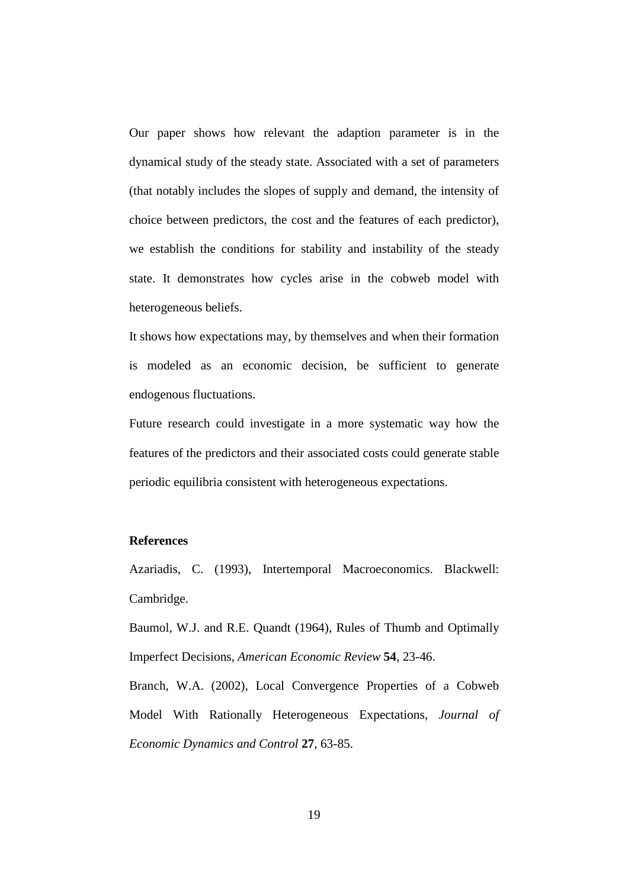Our paper shows how relevant the adaption parameter is in the dynamical study of the steady state. Associated with a set of parameters (that notably includes the slopes of supply and demand, the intensity of choice between predictors, the cost and the features of each predictor), we establish the conditions for stability and instability of the steady state. It demonstrates how cycles arise in the cobweb model with heterogeneous beliefs.

It shows how expectations may, by themselves and when their formation is modeled as an economic decision, be sufficient to generate endogenous fluctuations.

Future research could investigate in a more systematic way how the features of the predictors and their associated costs could generate stable periodic equilibria consistent with heterogeneous expectations.

#### **References**

Azariadis, C. (1993), Intertemporal Macroeconomics. Blackwell: Cambridge.

Baumol, W.J. and R.E. Quandt (1964), Rules of Thumb and Optimally Imperfect Decisions, *American Economic Review* **54**, 23-46.

Branch, W.A. (2002), Local Convergence Properties of a Cobweb Model With Rationally Heterogeneous Expectations, *Journal of Economic Dynamics and Control* **27**, 63-85.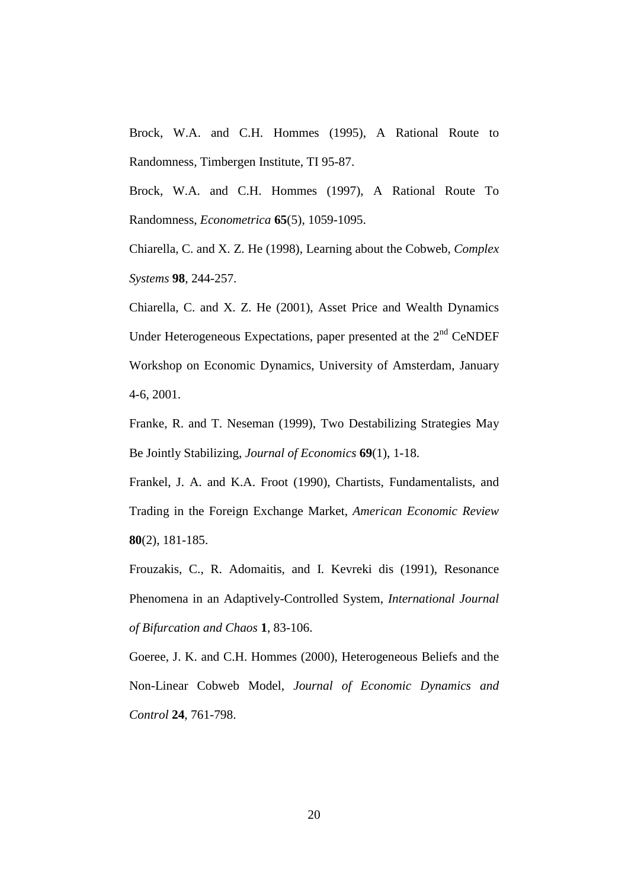Brock, W.A. and C.H. Hommes (1995), A Rational Route to Randomness, Timbergen Institute, TI 95-87.

Brock, W.A. and C.H. Hommes (1997), A Rational Route To Randomness, *Econometrica* **65**(5), 1059-1095.

Chiarella, C. and X. Z. He (1998), Learning about the Cobweb, *Complex Systems* **98**, 244-257.

Chiarella, C. and X. Z. He (2001), Asset Price and Wealth Dynamics Under Heterogeneous Expectations, paper presented at the  $2<sup>nd</sup>$  CeNDEF Workshop on Economic Dynamics, University of Amsterdam, January 4-6, 2001.

Franke, R. and T. Neseman (1999), Two Destabilizing Strategies May Be Jointly Stabilizing, *Journal of Economics* **69**(1), 1-18.

Frankel, J. A. and K.A. Froot (1990), Chartists, Fundamentalists, and Trading in the Foreign Exchange Market, *American Economic Review* **80**(2), 181-185.

Frouzakis, C., R. Adomaitis, and I. Kevreki dis (1991), Resonance Phenomena in an Adaptively-Controlled System, *International Journal of Bifurcation and Chaos* **1**, 83-106.

Goeree, J. K. and C.H. Hommes (2000), Heterogeneous Beliefs and the Non-Linear Cobweb Model, *Journal of Economic Dynamics and Control* **24**, 761-798.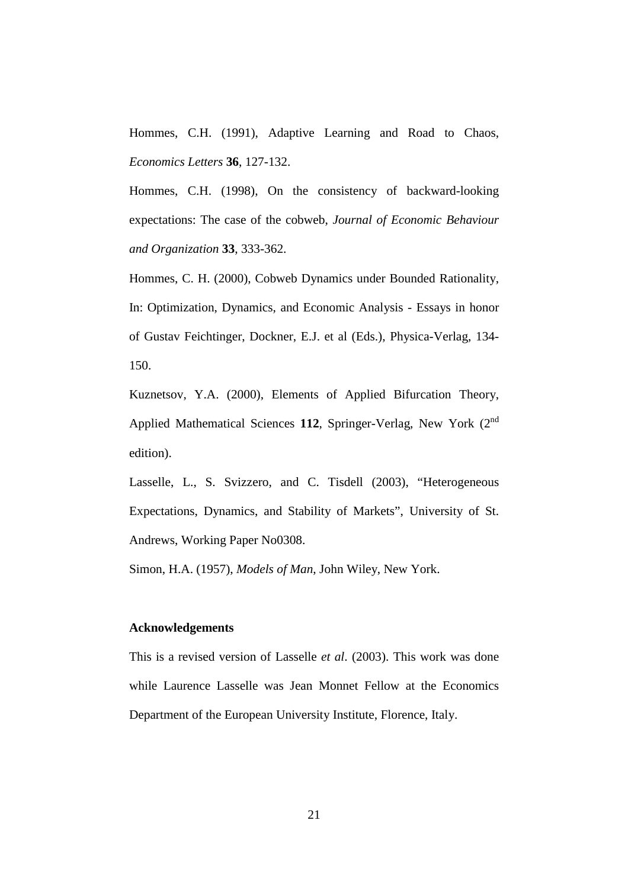Hommes, C.H. (1991), Adaptive Learning and Road to Chaos, *Economics Letters* **36**, 127-132.

Hommes, C.H. (1998), On the consistency of backward-looking expectations: The case of the cobweb, *Journal of Economic Behaviour and Organization* **33**, 333-362.

Hommes, C. H. (2000), Cobweb Dynamics under Bounded Rationality, In: Optimization, Dynamics, and Economic Analysis - Essays in honor of Gustav Feichtinger, Dockner, E.J. et al (Eds.), Physica-Verlag, 134- 150.

Kuznetsov, Y.A. (2000), Elements of Applied Bifurcation Theory, Applied Mathematical Sciences 112, Springer-Verlag, New York (2<sup>nd</sup>) edition).

Lasselle, L., S. Svizzero, and C. Tisdell (2003), "Heterogeneous Expectations, Dynamics, and Stability of Markets", University of St. Andrews, Working Paper No0308.

Simon, H.A. (1957), *Models of Man*, John Wiley, New York.

#### **Acknowledgements**

This is a revised version of Lasselle *et al*. (2003). This work was done while Laurence Lasselle was Jean Monnet Fellow at the Economics Department of the European University Institute, Florence, Italy.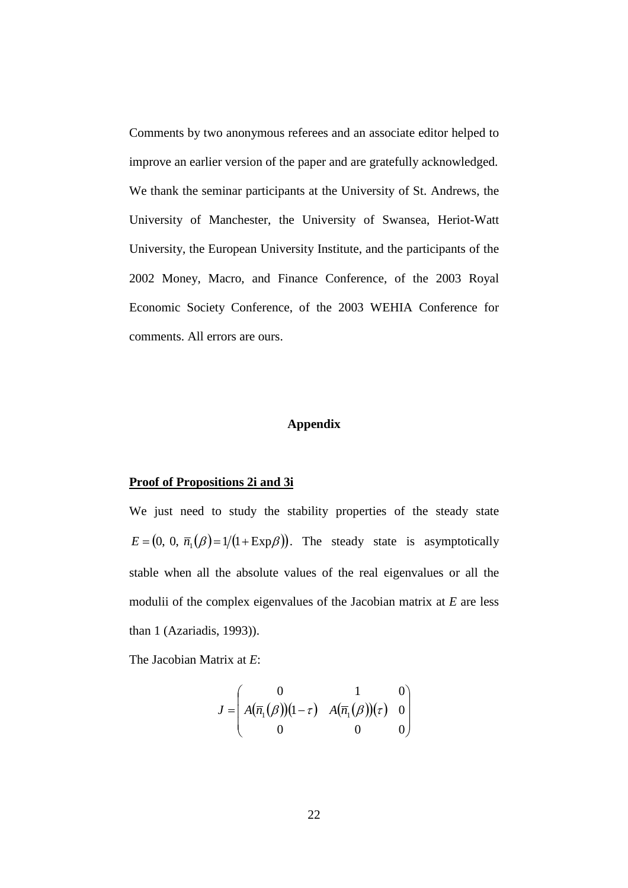Comments by two anonymous referees and an associate editor helped to improve an earlier version of the paper and are gratefully acknowledged. We thank the seminar participants at the University of St. Andrews, the University of Manchester, the University of Swansea, Heriot-Watt University, the European University Institute, and the participants of the 2002 Money, Macro, and Finance Conference, of the 2003 Royal Economic Society Conference, of the 2003 WEHIA Conference for comments. All errors are ours.

#### **Appendix**

#### **Proof of Propositions 2i and 3i**

We just need to study the stability properties of the steady state  $E = (0, 0, \overline{n}_1(\beta) = 1/(1 + \text{Exp}\beta))$ . The steady state is asymptotically stable when all the absolute values of the real eigenvalues or all the modulii of the complex eigenvalues of the Jacobian matrix at *E* are less than 1 (Azariadis, 1993)).

The Jacobian Matrix at *E*:

$$
J = \begin{pmatrix} 0 & 1 & 0 \\ A(\overline{n}_1(\beta))(1-\tau) & A(\overline{n}_1(\beta))( \tau) & 0 \\ 0 & 0 & 0 \end{pmatrix}
$$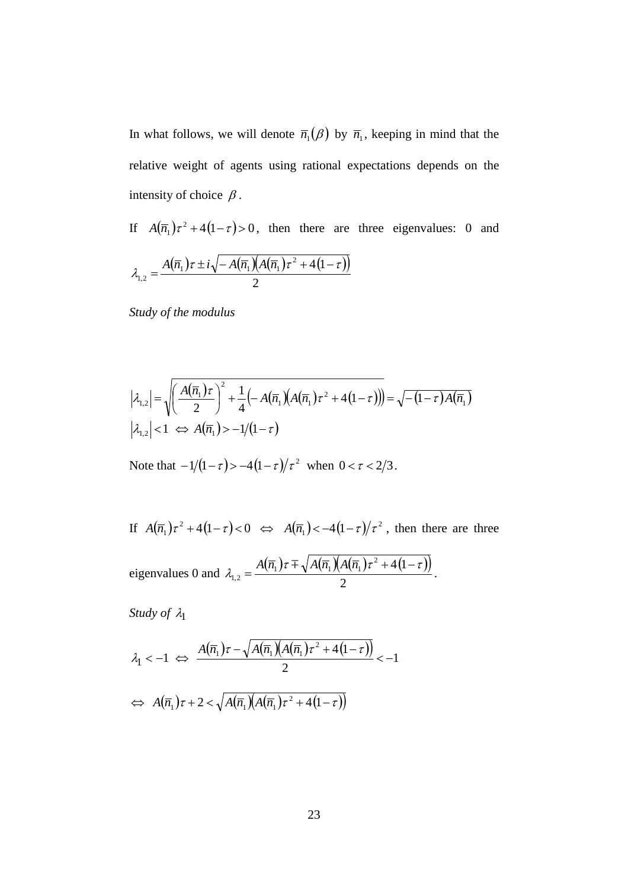In what follows, we will denote  $\overline{n}_1(\beta)$  by  $\overline{n}_1$ , keeping in mind that the relative weight of agents using rational expectations depends on the intensity of choice  $\beta$ .

If  $A(\overline{n}_1)\tau^2 + 4(1-\tau) > 0$ , then there are three eigenvalues: 0 and

$$
\lambda_{1,2} = \frac{A(\overline{n}_1)\tau \pm i\sqrt{-A(\overline{n}_1)(A(\overline{n}_1)\tau^2 + 4(1-\tau))}}{2}
$$

*Study of the modulus*

$$
\left|\lambda_{1,2}\right| = \sqrt{\left(\frac{A(\overline{n}_1)\tau}{2}\right)^2 + \frac{1}{4}\left(-A(\overline{n}_1)\left(A(\overline{n}_1)\tau^2 + 4(1-\tau)\right)\right)} = \sqrt{-(1-\tau)A(\overline{n}_1)}
$$
\n
$$
\left|\lambda_{1,2}\right| < 1 \iff A(\overline{n}_1) > -1/(1-\tau)
$$

Note that  $-1/(1-\tau) > -4(1-\tau)/\tau^2$  when  $0 < \tau < 2/3$ .

If  $A(\overline{n}_1)\tau^2 + 4(1-\tau) < 0 \iff A(\overline{n}_1) < -4(1-\tau)/\tau^2$ , then there are three eigenvalues 0 and  $\lambda_{12} = \frac{A(\overline{n}_1)\tau \mp \sqrt{A(\overline{n}_1)(A(\overline{n}_1)\tau^2 + 4(1-\tau))}}{2}$ 2  $(\overline{\tau}_1)\tau \mp \sqrt{A(\overline{n}_1)}A(\overline{n}_1)\tau^2 + 4(1)$ 1,2  $a\tau \pm \sqrt{A(\overline{n})}(A(\overline{n}))\tau^2 + 4(1-\tau))$  $\lambda$  $= \frac{A(\overline{n}_1)\tau \mp \sqrt{A(\overline{n}_1)(A(\overline{n}_1)\tau^2 + 4(1-\tau))}}{2}.$ 

*Study of*  $\lambda_1$ 

$$
\lambda_1 < -1 \iff \frac{A(\overline{n}_1)\tau - \sqrt{A(\overline{n}_1)(A(\overline{n}_1)\tau^2 + 4(1-\tau))}}{2} < -1
$$
\n
$$
\iff A(\overline{n}_1)\tau + 2 < \sqrt{A(\overline{n}_1)(A(\overline{n}_1)\tau^2 + 4(1-\tau))}
$$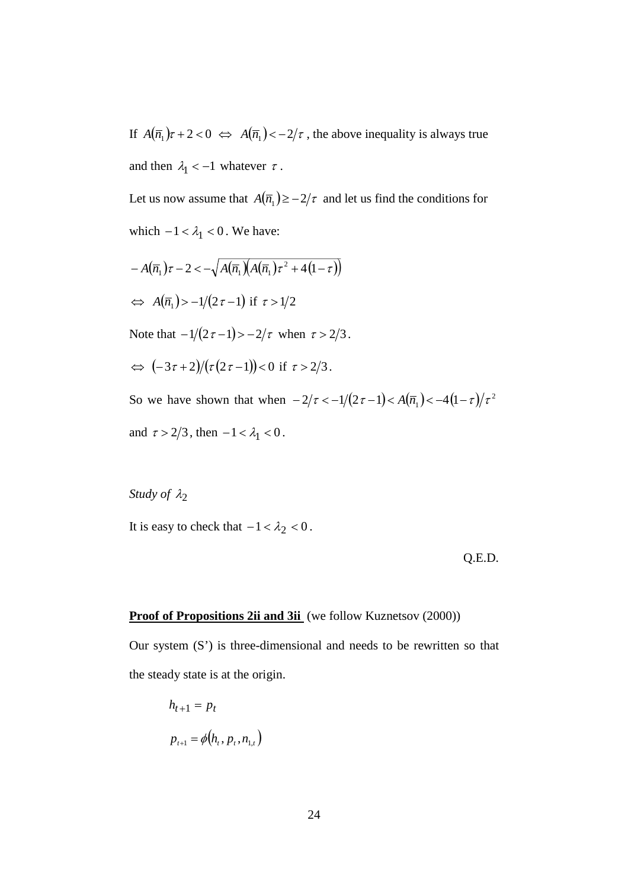If  $A(\overline{n}_1)\tau + 2 < 0 \iff A(\overline{n}_1) < -2/\tau$ , the above inequality is always true and then  $\lambda_1 < -1$  whatever  $\tau$ .

Let us now assume that  $A(\overline{n}_1) \ge -2/\tau$  and let us find the conditions for which  $-1 < \lambda_1 < 0$ . We have:

$$
-A(\overline{n}_1)\tau - 2 < -\sqrt{A(\overline{n}_1)(A(\overline{n}_1)\tau^2 + 4(1-\tau))}
$$
  
\n
$$
\Leftrightarrow A(\overline{n}_1) > -1/(2\tau - 1) \text{ if } \tau > 1/2
$$
  
\nNote that  $-1/(2\tau - 1) > -2/\tau$  when  $\tau > 2/3$ .  
\n
$$
\Leftrightarrow (-3\tau + 2)/(\tau(2\tau - 1)) < 0 \text{ if } \tau > 2/3.
$$
  
\nSo we have shown that when  $-2/\tau < -1/(2\tau - 1) < A(\overline{n}_1) < -4(1-\tau)/\tau^2$ 

and  $\tau > 2/3$ , then  $-1 < \lambda_1 < 0$ .

## *Study of*  $\lambda_2$

It is easy to check that  $-1 < \lambda_2 < 0$ .

Q.E.D.

#### **Proof of Propositions 2ii and 3ii** (we follow Kuznetsov (2000))

Our system (S') is three-dimensional and needs to be rewritten so that the steady state is at the origin.

$$
h_{t+1} = p_t
$$
  

$$
p_{t+1} = \phi(h_t, p_t, n_{1,t})
$$

 $\big)$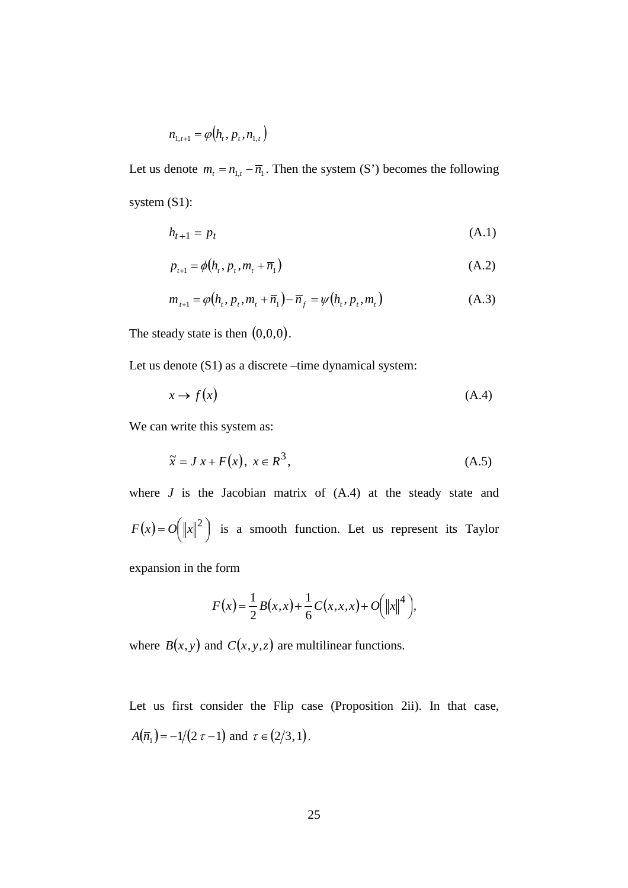$$
n_{1,t+1} = \varphi(h_t, p_t, n_{1,t})
$$

Let us denote  $m_t = n_{1,t} - \overline{n}_1$ . Then the system (S') becomes the following system (S1):

$$
h_{t+1} = p_t \tag{A.1}
$$

$$
p_{t+1} = \phi(h_t, p_t, m_t + \overline{n}_1)
$$
 (A.2)

$$
m_{t+1} = \varphi(h_t, p_t, m_t + \overline{n}_1) - \overline{n}_f = \psi(h_t, p_t, m_t)
$$
 (A.3)

The steady state is then  $(0,0,0)$ .

Let us denote (S1) as a discrete –time dynamical system:

$$
x \to f(x) \tag{A.4}
$$

We can write this system as:

$$
\tilde{x} = J x + F(x), \ x \in R^3,
$$
\n(A.5)

where  $J$  is the Jacobian matrix of  $(A.4)$  at the steady state and  $F(x) = O(|x||^2)$  is a smooth function. Let us represent its Taylor expansion in the form

$$
F(x) = \frac{1}{2}B(x, x) + \frac{1}{6}C(x, x, x) + O(|x||^{4}),
$$

where  $B(x, y)$  and  $C(x, y, z)$  are multilinear functions.

Let us first consider the Flip case (Proposition 2ii). In that case,  $A(\overline{n}_1) = -1/(2 \tau - 1)$  and  $\tau \in (2/3, 1)$ .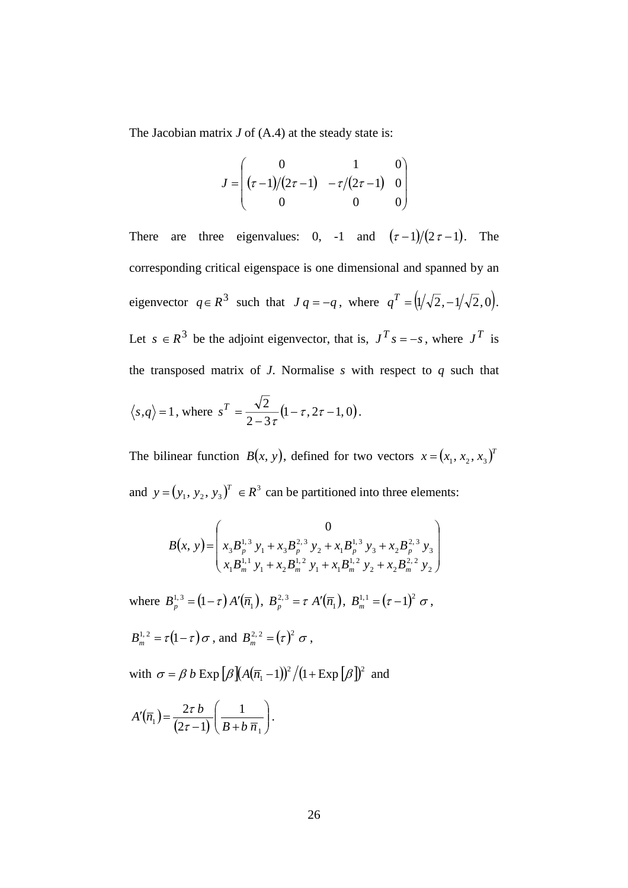The Jacobian matrix *J* of (A.4) at the steady state is:

$$
J = \begin{pmatrix} 0 & 1 & 0 \\ (\tau - 1)/(2\tau - 1) & -\tau/(2\tau - 1) & 0 \\ 0 & 0 & 0 \end{pmatrix}
$$

There are three eigenvalues: 0, -1 and  $(\tau-1)/(2\tau-1)$ . The corresponding critical eigenspace is one dimensional and spanned by an eigenvector  $q \in \mathbb{R}^3$  such that  $Jq = -q$ , where  $q^T = (1/\sqrt{2}, -1/\sqrt{2}, 0)$ . Let  $s \in R^3$  be the adjoint eigenvector, that is,  $J^T s = -s$ , where  $J^T$  is the transposed matrix of  $J$ . Normalise  $s$  with respect to  $q$  such that  $\langle s, q \rangle = 1$ , where  $s^T = \frac{\sqrt{2}}{2} (1 - \tau, 2\tau - 1, 0)$  $2 - 3$  $s^T = \frac{\sqrt{2}}{2 - 3\tau} (1 - \tau, 2\tau - 1, 0).$ 

The bilinear function  $B(x, y)$ , defined for two vectors  $x = (x_1, x_2, x_3)^T$ and  $y = (y_1, y_2, y_3)^T \in \mathbb{R}^3$  can be partitioned into three elements:

$$
B(x, y) = \begin{pmatrix} 0 \\ x_3 B_p^{1,3} y_1 + x_3 B_p^{2,3} y_2 + x_1 B_p^{1,3} y_3 + x_2 B_p^{2,3} y_3 \\ x_1 B_m^{1,1} y_1 + x_2 B_m^{1,2} y_1 + x_1 B_m^{1,2} y_2 + x_2 B_m^{2,2} y_2 \end{pmatrix}
$$

where  $B_p^{1,3} = (1 - \tau) A'(\overline{n}_1)$ ,  $B_p^{2,3} = \tau A'(\overline{n}_1)$ ,  $B_m^{1,1} = (\tau - 1)^2 \sigma$ ,

$$
B_m^{1,2} = \tau(1-\tau)\sigma
$$
, and 
$$
B_m^{2,2} = (\tau)^2 \sigma
$$
,

with  $\sigma = \beta b \operatorname{Exp} \left[ \beta \left[ \frac{A(\overline{n}_1 - 1)}{2} \right] / (1 + \operatorname{Exp} \left[ \beta \right] \right]^2$  and

$$
A'(\overline{n}_1) = \frac{2\tau b}{(2\tau - 1)} \left( \frac{1}{B + b \overline{n}_1} \right).
$$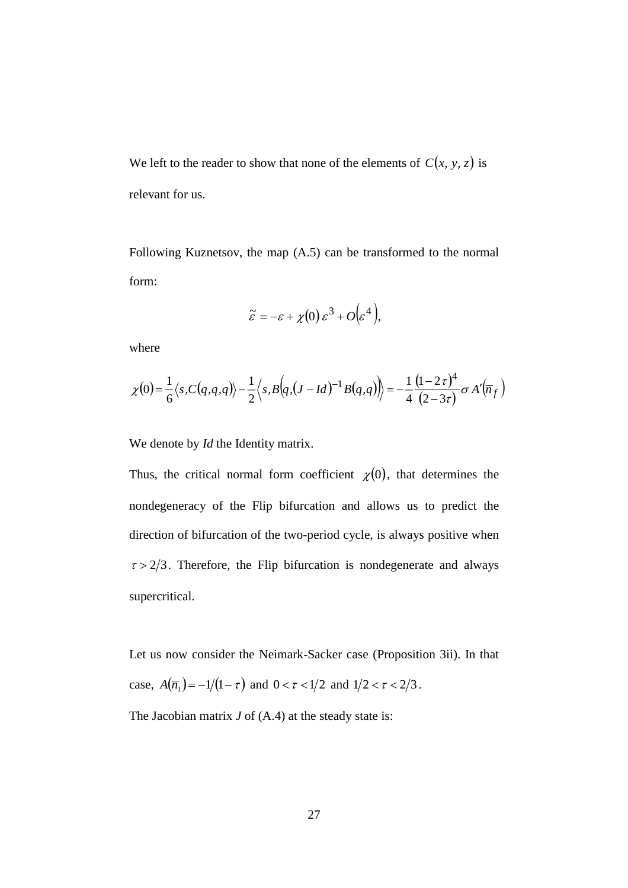We left to the reader to show that none of the elements of  $C(x, y, z)$  is relevant for us.

Following Kuznetsov, the map (A.5) can be transformed to the normal form:

$$
\widetilde{\varepsilon} = -\varepsilon + \chi(0) \, \varepsilon^3 + O\big(\varepsilon^4\big),
$$

where

$$
\chi(0) = \frac{1}{6} \langle s, C(q, q, q) \rangle - \frac{1}{2} \langle s, B(q, (J - Id)^{-1} B(q, q)) \rangle = -\frac{1}{4} \frac{(1 - 2\tau)^4}{(2 - 3\tau)} \sigma A'(\overline{n}_f)
$$

We denote by *Id* the Identity matrix.

Thus, the critical normal form coefficient  $\chi(0)$ , that determines the nondegeneracy of the Flip bifurcation and allows us to predict the direction of bifurcation of the two-period cycle, is always positive when  $\tau > 2/3$ . Therefore, the Flip bifurcation is nondegenerate and always supercritical.

Let us now consider the Neimark-Sacker case (Proposition 3ii). In that case,  $A(\overline{n}_1) = -1/(1 - \tau)$  and  $0 < \tau < 1/2$  and  $1/2 < \tau < 2/3$ .

The Jacobian matrix *J* of (A.4) at the steady state is: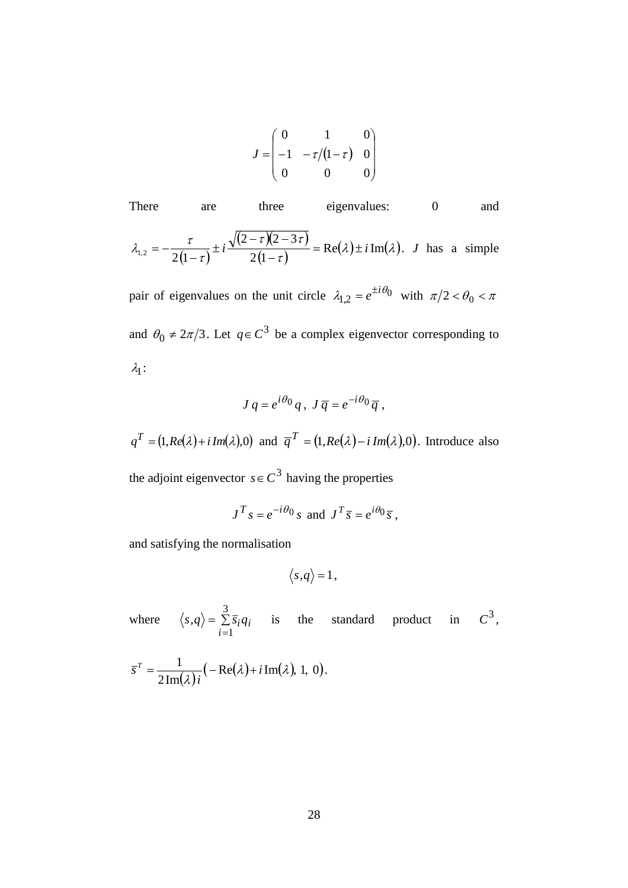$$
J = \begin{pmatrix} 0 & 1 & 0 \\ -1 & -\tau/(1-\tau) & 0 \\ 0 & 0 & 0 \end{pmatrix}
$$

There are three eigenvalues: 0 and  $(1-\tau)$  $(2 - \tau)(2 - 3\tau)$  $\frac{i \int_{\mathcal{L}} 2 - 3i j}{(1 - \tau)} = \text{Re}(\lambda) \pm i \text{Im}(\lambda)$  $\overline{\tau})(2-3\tau)$  $\tau$  $\lambda_{12} = -\frac{\tau}{2(2-\tau)(2-3\tau)} \pm i \frac{\sqrt{(2-\tau)(2-3\tau)}}{2(2-\tau)} = \text{Re}(\lambda) \pm i \text{ Im}$  $2(1$  $I_{1,2} = -\frac{\tau}{2(1-\tau)} \pm i \frac{\sqrt{(2-\tau)(2-3\tau)}}{2(1-\tau)} = \text{Re}(\lambda) \pm i \text{Im}(\lambda).$  J has a simple

pair of eigenvalues on the unit circle  $\lambda_{1,2} = e^{\pm i \theta_0}$  with  $\pi/2 < \theta_0 < \pi$ and  $\theta_0 \neq 2\pi/3$ . Let  $q \in C^3$  be a complex eigenvector corresponding to  $\lambda_1$ :

$$
J q = e^{i\theta_0} q, J \overline{q} = e^{-i\theta_0} \overline{q},
$$

 $q^T = (1, Re(\lambda) + i Im(\lambda), 0)$  and  $\overline{q}^T = (1, Re(\lambda) - i Im(\lambda), 0)$ . Introduce also

the adjoint eigenvector  $s \in C^3$  having the properties

$$
J^T s = e^{-i\theta_0} s
$$
 and  $J^T \overline{s} = e^{i\theta_0} \overline{s}$ ,

and satisfying the normalisation

$$
\langle s,q\rangle=1\,,
$$

where  $\langle s, q \rangle = \sum \overline{s}_i q_i$ *i*  $\langle s, q \rangle = \sum_{i=1}^{6} \overline{s}_i q_i$ 3 1 is the standard product in  $C^3$ ,

$$
\overline{s}^T = \frac{1}{2 \operatorname{Im}(\lambda) i} \left( -\operatorname{Re}(\lambda) + i \operatorname{Im}(\lambda), 1, 0 \right).
$$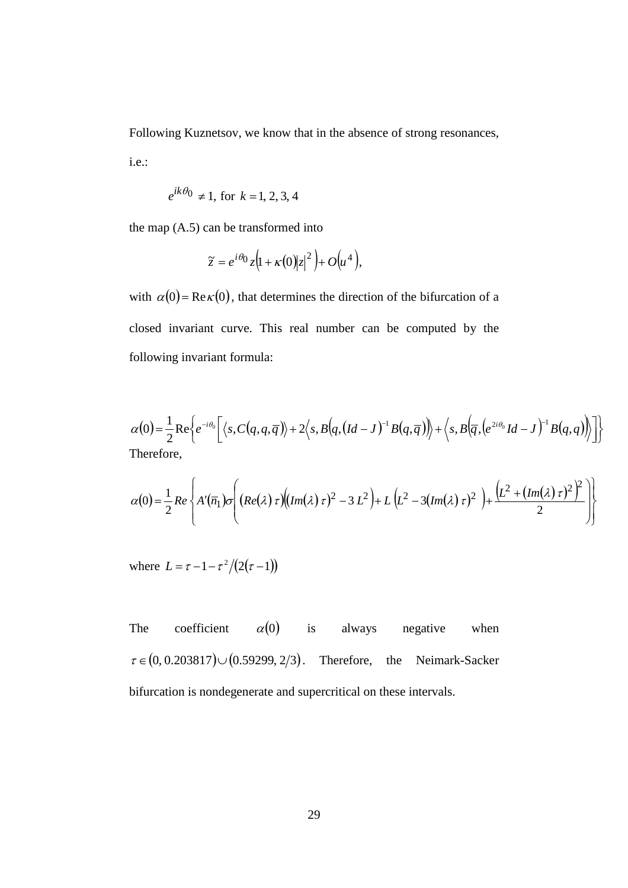Following Kuznetsov, we know that in the absence of strong resonances,

i.e.:

$$
e^{ik\theta_0} \neq 1
$$
, for  $k = 1, 2, 3, 4$ 

the map (A.5) can be transformed into

$$
\widetilde{z} = e^{i\theta_0} z \Big( 1 + \kappa(0) |z|^2 \Big) + O\Big(u^4\Big),
$$

with  $\alpha(0)$  = Re  $\kappa(0)$ , that determines the direction of the bifurcation of a closed invariant curve. This real number can be computed by the following invariant formula:

$$
\alpha(0) = \frac{1}{2} \operatorname{Re} \left\{ e^{-i\theta_0} \left[ \langle s, C(q, q, \overline{q}) \rangle + 2 \langle s, B(q, (Id-J)^{-1} B(q, \overline{q})) \rangle + \langle s, B(\overline{q}, (e^{2i\theta_0} Id - J)^{-1} B(q, q)) \rangle \right] \right\}
$$
  
Therefore,

$$
\alpha(0) = \frac{1}{2} Re \left\{ A'(\overline{n}_1) \sigma \left( \left( Re(\lambda) \tau \right) \left( \left( Im(\lambda) \tau \right)^2 - 3 L^2 \right) + L \left( L^2 - 3 \left( Im(\lambda) \tau \right)^2 \right) + \frac{\left( L^2 + \left( Im(\lambda) \tau \right)^2 \right)^2}{2} \right) \right\}
$$

where  $L = \tau - 1 - \tau^2/(2(\tau - 1))$ 

The coefficient  $\alpha(0)$  is always negative when  $\tau \in (0, 0.203817) \cup (0.59299, 2/3)$ . Therefore, the Neimark-Sacker bifurcation is nondegenerate and supercritical on these intervals.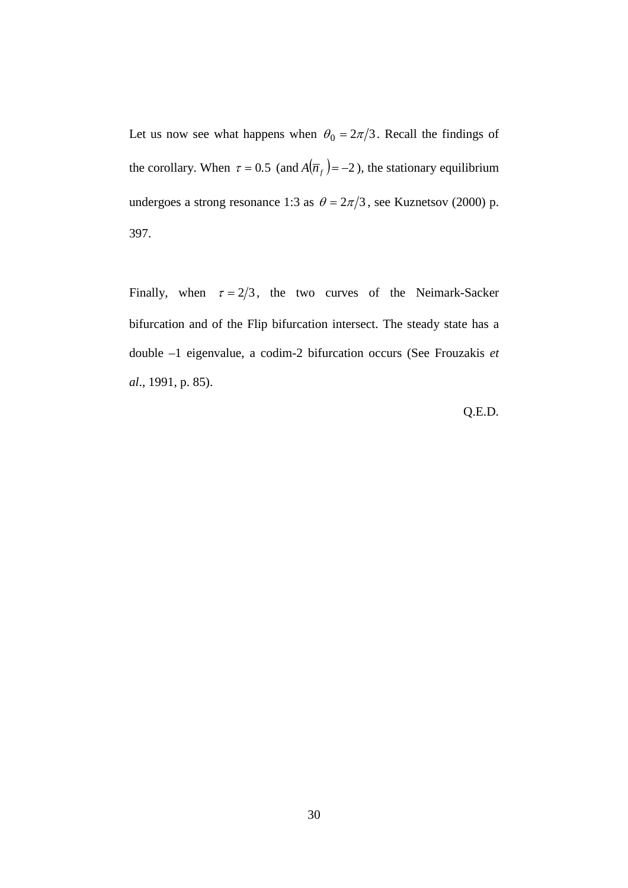Let us now see what happens when  $\theta_0 = 2\pi/3$ . Recall the findings of the corollary. When  $\tau = 0.5$  (and  $A(\overline{n}_f) = -2$ ), the stationary equilibrium undergoes a strong resonance 1:3 as  $\theta = 2\pi/3$ , see Kuznetsov (2000) p. 397.

Finally, when  $\tau = 2/3$ , the two curves of the Neimark-Sacker bifurcation and of the Flip bifurcation intersect. The steady state has a double –1 eigenvalue, a codim-2 bifurcation occurs (See Frouzakis *et al*., 1991, p. 85).

Q.E.D.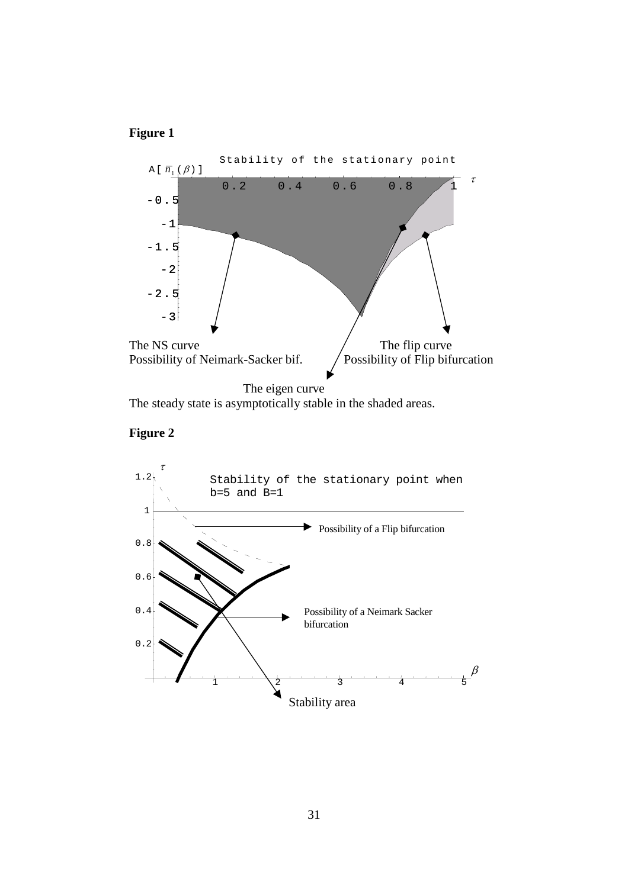